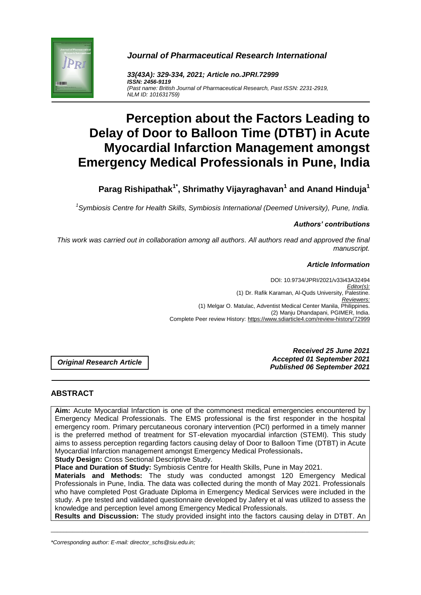

# *Journal of Pharmaceutical Research International*

*33(43A): 329-334, 2021; Article no.JPRI.72999 ISSN: 2456-9119 (Past name: British Journal of Pharmaceutical Research, Past ISSN: 2231-2919, NLM ID: 101631759)*

# **Perception about the Factors Leading to Delay of Door to Balloon Time (DTBT) in Acute Myocardial Infarction Management amongst Emergency Medical Professionals in Pune, India**

**Parag Rishipathak1\* , Shrimathy Vijayraghavan<sup>1</sup> and Anand Hinduja<sup>1</sup>**

*1 Symbiosis Centre for Health Skills, Symbiosis International (Deemed University), Pune, India.*

## *Authors' contributions*

*This work was carried out in collaboration among all authors. All authors read and approved the final manuscript.*

## *Article Information*

DOI: 10.9734/JPRI/2021/v33i43A32494 *Editor(s):* (1) Dr. Rafik Karaman, Al-Quds University, Palestine. *Reviewers:* (1) Melgar O. Matulac, Adventist Medical Center Manila, Philippines. (2) Manju Dhandapani, PGIMER, India. Complete Peer review History: https://www.sdiarticle4.com/review-history/72999

*Original Research Article*

*Received 25 June 2021 Accepted 01 September 2021 Published 06 September 2021*

# **ABSTRACT**

**Aim:** Acute Myocardial Infarction is one of the commonest medical emergencies encountered by Emergency Medical Professionals. The EMS professional is the first responder in the hospital emergency room. Primary percutaneous coronary intervention (PCI) performed in a timely manner is the preferred method of treatment for ST-elevation myocardial infarction (STEMI). This study aims to assess perception regarding factors causing delay of Door to Balloon Time (DTBT) in Acute Myocardial Infarction management amongst Emergency Medical Professionals**.**

**Study Design:** Cross Sectional Descriptive Study.

**Place and Duration of Study:** Symbiosis Centre for Health Skills, Pune in May 2021.

**Materials and Methods:** The study was conducted amongst 120 Emergency Medical Professionals in Pune, India. The data was collected during the month of May 2021. Professionals who have completed Post Graduate Diploma in Emergency Medical Services were included in the study. A pre tested and validated questionnaire developed by Jafery et al was utilized to assess the knowledge and perception level among Emergency Medical Professionals.

\_\_\_\_\_\_\_\_\_\_\_\_\_\_\_\_\_\_\_\_\_\_\_\_\_\_\_\_\_\_\_\_\_\_\_\_\_\_\_\_\_\_\_\_\_\_\_\_\_\_\_\_\_\_\_\_\_\_\_\_\_\_\_\_\_\_\_\_\_\_\_\_\_\_\_\_\_\_\_\_\_\_\_\_\_\_\_\_\_\_\_\_\_\_\_\_\_\_\_\_\_ **Results and Discussion:** The study provided insight into the factors causing delay in DTBT. An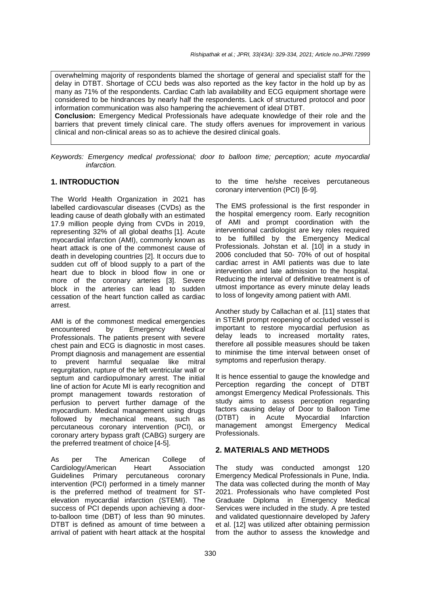overwhelming majority of respondents blamed the shortage of general and specialist staff for the delay in DTBT. Shortage of CCU beds was also reported as the key factor in the hold up by as many as 71% of the respondents. Cardiac Cath lab availability and ECG equipment shortage were considered to be hindrances by nearly half the respondents. Lack of structured protocol and poor information communication was also hampering the achievement of ideal DTBT.

**Conclusion:** Emergency Medical Professionals have adequate knowledge of their role and the barriers that prevent timely clinical care. The study offers avenues for improvement in various clinical and non-clinical areas so as to achieve the desired clinical goals.

*Keywords: Emergency medical professional; door to balloon time; perception; acute myocardial infarction.*

# **1. INTRODUCTION**

The World Health Organization in 2021 has labelled cardiovascular diseases (CVDs) as the leading cause of death globally with an estimated 17.9 million people dying from CVDs in 2019, representing 32% of all global deaths [1]. Acute myocardial infarction (AMI), commonly known as heart attack is one of the commonest cause of death in developing countries [2]. It occurs due to sudden cut off of blood supply to a part of the heart due to block in blood flow in one or more of the coronary arteries [3]. Severe block in the arteries can lead to sudden cessation of the heart function called as cardiac arrest.

AMI is of the commonest medical emergencies encountered by Emergency Medical Professionals. The patients present with severe chest pain and ECG is diagnostic in most cases. Prompt diagnosis and management are essential to prevent harmful sequalae like mitral regurgitation, rupture of the left ventricular wall or septum and cardiopulmonary arrest. The initial line of action for Acute MI is early recognition and prompt management towards restoration of perfusion to pervert further damage of the myocardium. Medical management using drugs followed by mechanical means, such as percutaneous coronary intervention (PCI), or coronary artery bypass graft (CABG) surgery are the preferred treatment of choice [4-5].

As per The American College of Cardiology/American Heart Association Guidelines Primary percutaneous coronary intervention (PCI) performed in a timely manner is the preferred method of treatment for STelevation myocardial infarction (STEMI). The success of PCI depends upon achieving a doorto-balloon time (DBT) of less than 90 minutes. DTBT is defined as amount of time between a arrival of patient with heart attack at the hospital

to the time he/she receives percutaneous coronary intervention (PCI) [6-9].

The EMS professional is the first responder in the hospital emergency room. Early recognition of AMI and prompt coordination with the interventional cardiologist are key roles required to be fulfilled by the Emergency Medical Professionals. Johstan et al. [10] in a study in 2006 concluded that 50- 70% of out of hospital cardiac arrest in AMI patients was due to late intervention and late admission to the hospital. Reducing the interval of definitive treatment is of utmost importance as every minute delay leads to loss of longevity among patient with AMI.

Another study by Callachan et al. [11] states that in STEMI prompt reopening of occluded vessel is important to restore myocardial perfusion as delay leads to increased mortality rates, therefore all possible measures should be taken to minimise the time interval between onset of symptoms and reperfusion therapy.

It is hence essential to gauge the knowledge and Perception regarding the concept of DTBT amongst Emergency Medical Professionals. This study aims to assess perception regarding factors causing delay of Door to Balloon Time (DTBT) in Acute Myocardial Infarction management amongst Emergency Medical Professionals.

## **2. MATERIALS AND METHODS**

The study was conducted amongst 120 Emergency Medical Professionals in Pune, India. The data was collected during the month of May 2021. Professionals who have completed Post Graduate Diploma in Emergency Medical Services were included in the study. A pre tested and validated questionnaire developed by Jafery et al. [12] was utilized after obtaining permission from the author to assess the knowledge and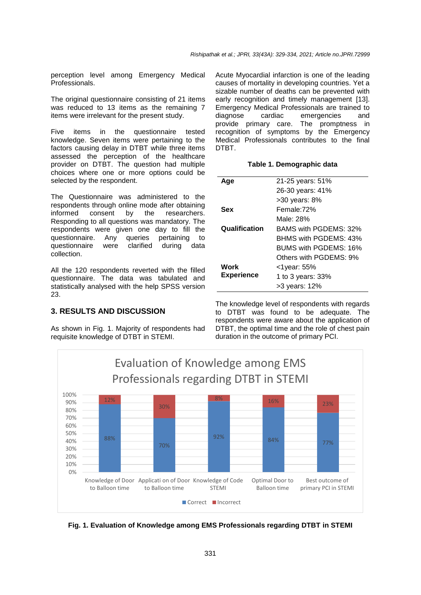perception level among Emergency Medical Professionals.

The original questionnaire consisting of 21 items was reduced to 13 items as the remaining 7 items were irrelevant for the present study.

Five items in the questionnaire tested knowledge. Seven items were pertaining to the factors causing delay in DTBT while three items assessed the perception of the healthcare provider on DTBT. The question had multiple choices where one or more options could be selected by the respondent.

The Questionnaire was administered to the respondents through online mode after obtaining informed consent by the researchers. Responding to all questions was mandatory. The respondents were given one day to fill the questionnaire. Any queries pertaining to questionnaire were clarified during data collection.

All the 120 respondents reverted with the filled questionnaire. The data was tabulated and statistically analysed with the help SPSS version 23.

## **3. RESULTS AND DISCUSSION**

As shown in Fig. 1. Majority of respondents had requisite knowledge of DTBT in STEMI.

Acute Myocardial infarction is one of the leading causes of mortality in developing countries. Yet a sizable number of deaths can be prevented with early recognition and timely management [13]. Emergency Medical Professionals are trained to diagnose cardiac emergencies and provide primary care. The promptness in recognition of symptoms by the Emergency Medical Professionals contributes to the final **DTRT** 

#### **Table 1. Demographic data**

| Aqe               | 21-25 years: 51%       |
|-------------------|------------------------|
|                   | 26-30 years: 41%       |
|                   | >30 years: 8%          |
| Sex               | Female: 72%            |
|                   | Male: 28%              |
| Qualification     | BAMS with PGDEMS: 32%  |
|                   | BHMS with PGDEMS: 43%  |
|                   | BUMS with PGDFMS: 16%  |
|                   | Others with PGDEMS: 9% |
| Work              | <1year: 55%            |
| <b>Experience</b> | 1 to 3 years: 33%      |
|                   | >3 years: 12%          |

The knowledge level of respondents with regards to DTBT was found to be adequate. The respondents were aware about the application of DTBT, the optimal time and the role of chest pain duration in the outcome of primary PCI.



**Fig. 1. Evaluation of Knowledge among EMS Professionals regarding DTBT in STEMI**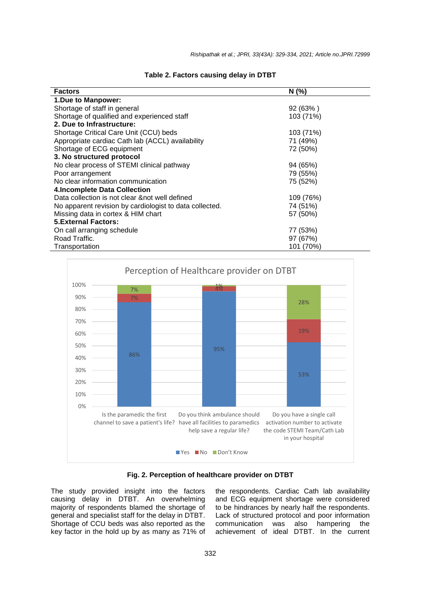| <b>Factors</b>                                          | N(%)      |  |
|---------------------------------------------------------|-----------|--|
| 1.Due to Manpower:                                      |           |  |
| Shortage of staff in general                            | 92 (63%)  |  |
| Shortage of qualified and experienced staff             | 103 (71%) |  |
| 2. Due to Infrastructure:                               |           |  |
| Shortage Critical Care Unit (CCU) beds                  | 103 (71%) |  |
| Appropriate cardiac Cath lab (ACCL) availability        | 71 (49%)  |  |
| Shortage of ECG equipment                               | 72 (50%)  |  |
| 3. No structured protocol                               |           |  |
| No clear process of STEMI clinical pathway              | 94 (65%)  |  |
| Poor arrangement                                        | 79 (55%)  |  |
| No clear information communication                      | 75 (52%)  |  |
| <b>4.Incomplete Data Collection</b>                     |           |  |
| Data collection is not clear & not well defined         | 109 (76%) |  |
| No apparent revision by cardiologist to data collected. | 74 (51%)  |  |
| Missing data in cortex & HIM chart                      | 57 (50%)  |  |
| <b>5.External Factors:</b>                              |           |  |
| On call arranging schedule                              | 77 (53%)  |  |
| Road Traffic.                                           | 97 (67%)  |  |
| Transportation                                          | 101 (70%) |  |

#### **Table 2. Factors causing delay in DTBT**



**Fig. 2. Perception of healthcare provider on DTBT**

The study provided insight into the factors causing delay in DTBT. An overwhelming majority of respondents blamed the shortage of general and specialist staff for the delay in DTBT. Shortage of CCU beds was also reported as the key factor in the hold up by as many as 71% of

the respondents. Cardiac Cath lab availability and ECG equipment shortage were considered to be hindrances by nearly half the respondents. Lack of structured protocol and poor information communication was also hampering the achievement of ideal DTBT. In the current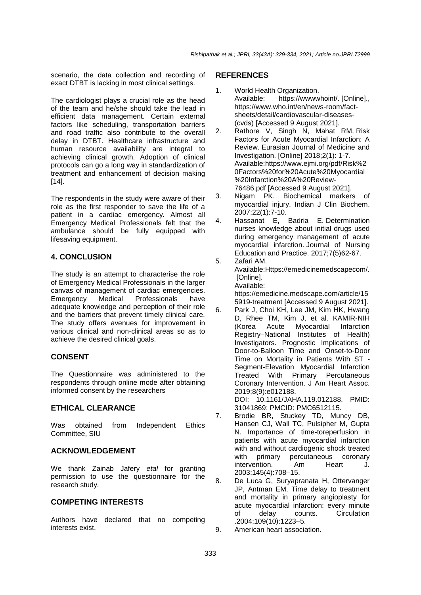scenario, the data collection and recording of exact DTBT is lacking in most clinical settings.

The cardiologist plays a crucial role as the head of the team and he/she should take the lead in efficient data management. Certain external factors like scheduling, transportation barriers and road traffic also contribute to the overall delay in DTBT. Healthcare infrastructure and human resource availability are integral to achieving clinical growth. Adoption of clinical protocols can go a long way in standardization of treatment and enhancement of decision making [14].

The respondents in the study were aware of their role as the first responder to save the life of a patient in a cardiac emergency. Almost all Emergency Medical Professionals felt that the ambulance should be fully equipped with lifesaving equipment.

## **4. CONCLUSION**

The study is an attempt to characterise the role of Emergency Medical Professionals in the larger canvas of management of cardiac emergencies. Emergency Medical Professionals have adequate knowledge and perception of their role and the barriers that prevent timely clinical care. The study offers avenues for improvement in various clinical and non-clinical areas so as to achieve the desired clinical goals.

# **CONSENT**

The Questionnaire was administered to the respondents through online mode after obtaining informed consent by the researchers

# **ETHICAL CLEARANCE**

Was obtained from Independent Ethics Committee, SIU

# **ACKNOWLEDGEMENT**

We thank Zainab Jafery *etal* for granting permission to use the questionnaire for the research study.

# **COMPETING INTERESTS**

Authors have declared that no competing interests exist.

## **REFERENCES**

- 1. World Health Organization. Available: https://wwwwhoint/. [Online]., https://www.who.int/en/news-room/factsheets/detail/cardiovascular-diseases- (cvds) [Accessed 9 August 2021].
- 2. Rathore V, Singh N, Mahat RM. Risk Factors for Acute Myocardial Infarction: A Review. Eurasian Journal of Medicine and Investigation. [Online] 2018;2(1): 1-7. Available:https://www.ejmi.org/pdf/Risk%2 0Factors%20for%20Acute%20Myocardial %20Infarction%20A%20Review-76486.pdf [Accessed 9 August 2021].
- 3. Nigam PK. Biochemical markers of myocardial injury. Indian J Clin Biochem. 2007;22(1):7-10.
- 4. Hassanat E, Badria E. Determination nurses knowledge about initial drugs used during emergency management of acute myocardial infarction. Journal of Nursing Education and Practice. 2017;7(5)62-67.
- 5. Zafari AM. Available:Https://emedicinemedscapecom/. [Online]. Available: https://emedicine.medscape.com/article/15 5919-treatment [Accessed 9 August 2021].
- 6. Park J, Choi KH, Lee JM, Kim HK, Hwang D, Rhee TM, Kim J, et al. KAMIR‐NIH (Korea Acute Myocardial Infarction Registry–National Institutes of Health) Investigators. Prognostic Implications of Door-to-Balloon Time and Onset-to-Door Time on Mortality in Patients With ST - Segment-Elevation Myocardial Infarction Treated With Primary Percutaneous Coronary Intervention. J Am Heart Assoc. 2019;8(9):e012188. DOI: 10.1161/JAHA.119.012188. PMID:

31041869; PMCID: PMC6512115.

- 7. Brodie BR, Stuckey TD, Muncy DB, Hansen CJ, Wall TC, Pulsipher M, Gupta N. Importance of time-toreperfusion in patients with acute myocardial infarction with and without cardiogenic shock treated with primary percutaneous coronary intervention. Am Heart J. 2003;145(4):708–15.
- 8. De Luca G, Suryapranata H, Ottervanger JP, Antman EM. Time delay to treatment and mortality in primary angioplasty for acute myocardial infarction: every minute of delay counts. Circulation .2004;109(10):1223–5.

9. American heart association.